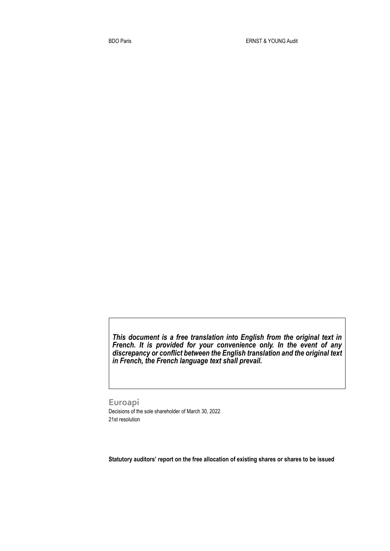*This document is a free translation into English from the original text in French. It is provided for your convenience only. In the event of any discrepancy or conflict between the English translation and the original text in French, the French language text shall prevail.* 

**Euroapi** Decisions of the sole shareholder of March 30, 2022 21st resolution

**Statutory auditors' report on the free allocation of existing shares or shares to be issued**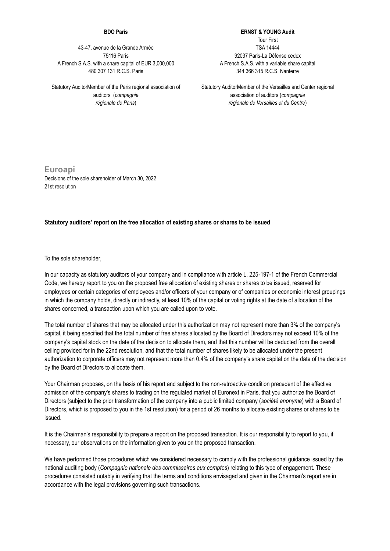## **BDO Paris**

43-47, avenue de la Grande Armée 75116 Paris A French S.A.S. with a share capital of EUR 3,000,000 480 307 131 R.C.S. Paris

Statutory AuditorMember of the Paris regional association of auditors (*compagnie régionale de Paris*)

**ERNST & YOUNG Audit** Tour First TSA 14444 92037 Paris-La Défense cedex A French S.A.S. with a variable share capital 344 366 315 R.C.S. Nanterre

Statutory AuditorMember of the Versailles and Center regional association of auditors (*compagnie régionale de Versailles et du Centre*)

**Euroapi** Decisions of the sole shareholder of March 30, 2022 21st resolution

## **Statutory auditors' report on the free allocation of existing shares or shares to be issued**

To the sole shareholder,

In our capacity as statutory auditors of your company and in compliance with article L. 225-197-1 of the French Commercial Code, we hereby report to you on the proposed free allocation of existing shares or shares to be issued, reserved for employees or certain categories of employees and/or officers of your company or of companies or economic interest groupings in which the company holds, directly or indirectly, at least 10% of the capital or voting rights at the date of allocation of the shares concerned, a transaction upon which you are called upon to vote.

The total number of shares that may be allocated under this authorization may not represent more than 3% of the company's capital, it being specified that the total number of free shares allocated by the Board of Directors may not exceed 10% of the company's capital stock on the date of the decision to allocate them, and that this number will be deducted from the overall ceiling provided for in the 22nd resolution, and that the total number of shares likely to be allocated under the present authorization to corporate officers may not represent more than 0.4% of the company's share capital on the date of the decision by the Board of Directors to allocate them.

Your Chairman proposes, on the basis of his report and subject to the non-retroactive condition precedent of the effective admission of the company's shares to trading on the regulated market of Euronext in Paris, that you authorize the Board of Directors (subject to the prior transformation of the company into a public limited company (*société anonyme*) with a Board of Directors, which is proposed to you in the 1st resolution) for a period of 26 months to allocate existing shares or shares to be issued.

It is the Chairman's responsibility to prepare a report on the proposed transaction. It is our responsibility to report to you, if necessary, our observations on the information given to you on the proposed transaction.

We have performed those procedures which we considered necessary to comply with the professional quidance issued by the national auditing body (*Compagnie nationale des commissaires aux comptes*) relating to this type of engagement. These procedures consisted notably in verifying that the terms and conditions envisaged and given in the Chairman's report are in accordance with the legal provisions governing such transactions.